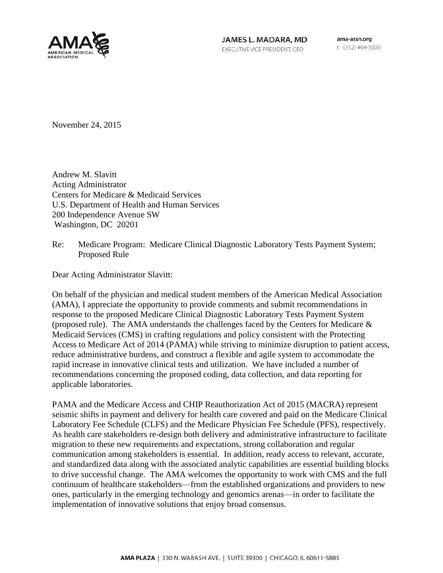

JAMES L. MADARA, MD EXECUTIVE VICE PRESIDENT, CEO

ama-assn.org t (312) 464-5000

November 24, 2015

Andrew M. Slavitt Acting Administrator Centers for Medicare & Medicaid Services U.S. Department of Health and Human Services 200 Independence Avenue SW Washington, DC 20201

#### Re: Medicare Program: Medicare Clinical Diagnostic Laboratory Tests Payment System; Proposed Rule

Dear Acting Administrator Slavitt:

On behalf of the physician and medical student members of the American Medical Association (AMA), I appreciate the opportunity to provide comments and submit recommendations in response to the proposed Medicare Clinical Diagnostic Laboratory Tests Payment System (proposed rule). The AMA understands the challenges faced by the Centers for Medicare & Medicaid Services (CMS) in crafting regulations and policy consistent with the Protecting Access to Medicare Act of 2014 (PAMA) while striving to minimize disruption to patient access, reduce administrative burdens, and construct a flexible and agile system to accommodate the rapid increase in innovative clinical tests and utilization. We have included a number of recommendations concerning the proposed coding, data collection, and data reporting for applicable laboratories.

PAMA and the Medicare Access and CHIP Reauthorization Act of 2015 (MACRA) represent seismic shifts in payment and delivery for health care covered and paid on the Medicare Clinical Laboratory Fee Schedule (CLFS) and the Medicare Physician Fee Schedule (PFS), respectively. As health care stakeholders re-design both delivery and administrative infrastructure to facilitate migration to these new requirements and expectations, strong collaboration and regular communication among stakeholders is essential. In addition, ready access to relevant, accurate, and standardized data along with the associated analytic capabilities are essential building blocks to drive successful change. The AMA welcomes the opportunity to work with CMS and the full continuum of healthcare stakeholders—from the established organizations and providers to new ones, particularly in the emerging technology and genomics arenas—in order to facilitate the implementation of innovative solutions that enjoy broad consensus.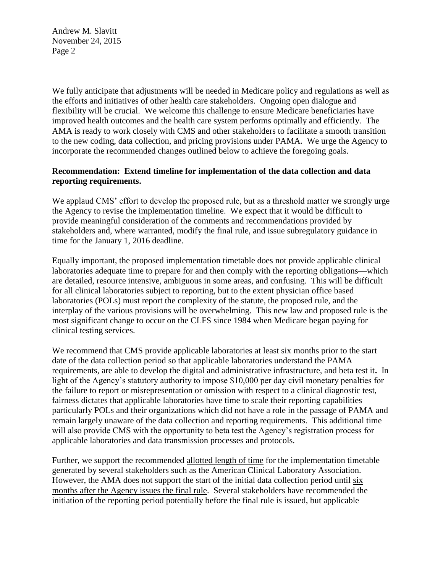We fully anticipate that adjustments will be needed in Medicare policy and regulations as well as the efforts and initiatives of other health care stakeholders. Ongoing open dialogue and flexibility will be crucial. We welcome this challenge to ensure Medicare beneficiaries have improved health outcomes and the health care system performs optimally and efficiently. The AMA is ready to work closely with CMS and other stakeholders to facilitate a smooth transition to the new coding, data collection, and pricing provisions under PAMA. We urge the Agency to incorporate the recommended changes outlined below to achieve the foregoing goals.

### **Recommendation: Extend timeline for implementation of the data collection and data reporting requirements.**

We applaud CMS' effort to develop the proposed rule, but as a threshold matter we strongly urge the Agency to revise the implementation timeline. We expect that it would be difficult to provide meaningful consideration of the comments and recommendations provided by stakeholders and, where warranted, modify the final rule, and issue subregulatory guidance in time for the January 1, 2016 deadline.

Equally important, the proposed implementation timetable does not provide applicable clinical laboratories adequate time to prepare for and then comply with the reporting obligations—which are detailed, resource intensive, ambiguous in some areas, and confusing. This will be difficult for all clinical laboratories subject to reporting, but to the extent physician office based laboratories (POLs) must report the complexity of the statute, the proposed rule, and the interplay of the various provisions will be overwhelming. This new law and proposed rule is the most significant change to occur on the CLFS since 1984 when Medicare began paying for clinical testing services.

We recommend that CMS provide applicable laboratories at least six months prior to the start date of the data collection period so that applicable laboratories understand the PAMA requirements, are able to develop the digital and administrative infrastructure, and beta test it**.** In light of the Agency's statutory authority to impose \$10,000 per day civil monetary penalties for the failure to report or misrepresentation or omission with respect to a clinical diagnostic test, fairness dictates that applicable laboratories have time to scale their reporting capabilities particularly POLs and their organizations which did not have a role in the passage of PAMA and remain largely unaware of the data collection and reporting requirements. This additional time will also provide CMS with the opportunity to beta test the Agency's registration process for applicable laboratories and data transmission processes and protocols.

Further, we support the recommended allotted length of time for the implementation timetable generated by several stakeholders such as the American Clinical Laboratory Association. However, the AMA does not support the start of the initial data collection period until six months after the Agency issues the final rule. Several stakeholders have recommended the initiation of the reporting period potentially before the final rule is issued, but applicable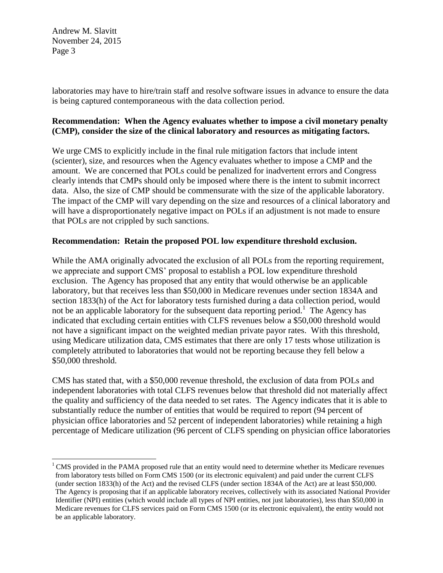$\overline{a}$ 

laboratories may have to hire/train staff and resolve software issues in advance to ensure the data is being captured contemporaneous with the data collection period.

# **Recommendation: When the Agency evaluates whether to impose a civil monetary penalty (CMP), consider the size of the clinical laboratory and resources as mitigating factors.**

We urge CMS to explicitly include in the final rule mitigation factors that include intent (scienter), size, and resources when the Agency evaluates whether to impose a CMP and the amount. We are concerned that POLs could be penalized for inadvertent errors and Congress clearly intends that CMPs should only be imposed where there is the intent to submit incorrect data. Also, the size of CMP should be commensurate with the size of the applicable laboratory. The impact of the CMP will vary depending on the size and resources of a clinical laboratory and will have a disproportionately negative impact on POLs if an adjustment is not made to ensure that POLs are not crippled by such sanctions.

#### **Recommendation: Retain the proposed POL low expenditure threshold exclusion.**

While the AMA originally advocated the exclusion of all POLs from the reporting requirement, we appreciate and support CMS' proposal to establish a POL low expenditure threshold exclusion.The Agency has proposed that any entity that would otherwise be an applicable laboratory, but that receives less than \$50,000 in Medicare revenues under section 1834A and section 1833(h) of the Act for laboratory tests furnished during a data collection period, would not be an applicable laboratory for the subsequent data reporting period.<sup>1</sup> The Agency has indicated that excluding certain entities with CLFS revenues below a \$50,000 threshold would not have a significant impact on the weighted median private payor rates. With this threshold, using Medicare utilization data, CMS estimates that there are only 17 tests whose utilization is completely attributed to laboratories that would not be reporting because they fell below a \$50,000 threshold.

CMS has stated that, with a \$50,000 revenue threshold, the exclusion of data from POLs and independent laboratories with total CLFS revenues below that threshold did not materially affect the quality and sufficiency of the data needed to set rates. The Agency indicates that it is able to substantially reduce the number of entities that would be required to report (94 percent of physician office laboratories and 52 percent of independent laboratories) while retaining a high percentage of Medicare utilization (96 percent of CLFS spending on physician office laboratories

 $<sup>1</sup>$  CMS provided in the PAMA proposed rule that an entity would need to determine whether its Medicare revenues</sup> from laboratory tests billed on Form CMS 1500 (or its electronic equivalent) and paid under the current CLFS (under section 1833(h) of the Act) and the revised CLFS (under section 1834A of the Act) are at least \$50,000. The Agency is proposing that if an applicable laboratory receives, collectively with its associated National Provider Identifier (NPI) entities (which would include all types of NPI entities, not just laboratories), less than \$50,000 in Medicare revenues for CLFS services paid on Form CMS 1500 (or its electronic equivalent), the entity would not be an applicable laboratory.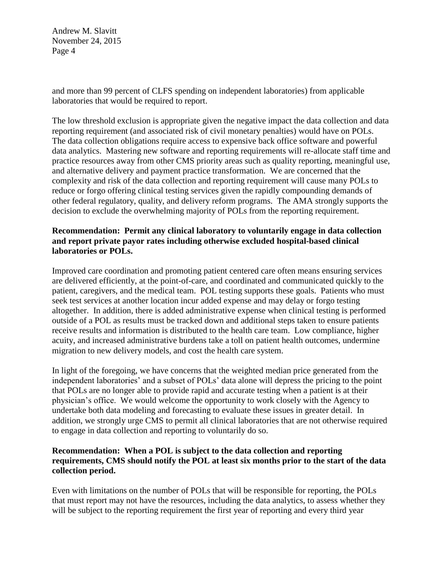and more than 99 percent of CLFS spending on independent laboratories) from applicable laboratories that would be required to report.

The low threshold exclusion is appropriate given the negative impact the data collection and data reporting requirement (and associated risk of civil monetary penalties) would have on POLs. The data collection obligations require access to expensive back office software and powerful data analytics. Mastering new software and reporting requirements will re-allocate staff time and practice resources away from other CMS priority areas such as quality reporting, meaningful use, and alternative delivery and payment practice transformation. We are concerned that the complexity and risk of the data collection and reporting requirement will cause many POLs to reduce or forgo offering clinical testing services given the rapidly compounding demands of other federal regulatory, quality, and delivery reform programs. The AMA strongly supports the decision to exclude the overwhelming majority of POLs from the reporting requirement.

## **Recommendation: Permit any clinical laboratory to voluntarily engage in data collection and report private payor rates including otherwise excluded hospital-based clinical laboratories or POLs.**

Improved care coordination and promoting patient centered care often means ensuring services are delivered efficiently, at the point-of-care, and coordinated and communicated quickly to the patient, caregivers, and the medical team. POL testing supports these goals. Patients who must seek test services at another location incur added expense and may delay or forgo testing altogether. In addition, there is added administrative expense when clinical testing is performed outside of a POL as results must be tracked down and additional steps taken to ensure patients receive results and information is distributed to the health care team. Low compliance, higher acuity, and increased administrative burdens take a toll on patient health outcomes, undermine migration to new delivery models, and cost the health care system.

In light of the foregoing, we have concerns that the weighted median price generated from the independent laboratories' and a subset of POLs' data alone will depress the pricing to the point that POLs are no longer able to provide rapid and accurate testing when a patient is at their physician's office. We would welcome the opportunity to work closely with the Agency to undertake both data modeling and forecasting to evaluate these issues in greater detail. In addition, we strongly urge CMS to permit all clinical laboratories that are not otherwise required to engage in data collection and reporting to voluntarily do so.

### **Recommendation: When a POL is subject to the data collection and reporting requirements, CMS should notify the POL at least six months prior to the start of the data collection period.**

Even with limitations on the number of POLs that will be responsible for reporting, the POLs that must report may not have the resources, including the data analytics, to assess whether they will be subject to the reporting requirement the first year of reporting and every third year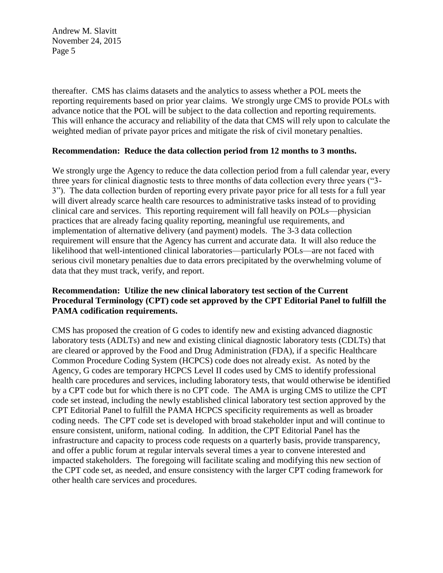thereafter. CMS has claims datasets and the analytics to assess whether a POL meets the reporting requirements based on prior year claims. We strongly urge CMS to provide POLs with advance notice that the POL will be subject to the data collection and reporting requirements. This will enhance the accuracy and reliability of the data that CMS will rely upon to calculate the weighted median of private payor prices and mitigate the risk of civil monetary penalties.

#### **Recommendation: Reduce the data collection period from 12 months to 3 months.**

We strongly urge the Agency to reduce the data collection period from a full calendar year, every three years for clinical diagnostic tests to three months of data collection every three years ("3- 3"). The data collection burden of reporting every private payor price for all tests for a full year will divert already scarce health care resources to administrative tasks instead of to providing clinical care and services. This reporting requirement will fall heavily on POLs—physician practices that are already facing quality reporting, meaningful use requirements, and implementation of alternative delivery (and payment) models. The 3-3 data collection requirement will ensure that the Agency has current and accurate data. It will also reduce the likelihood that well-intentioned clinical laboratories—particularly POLs—are not faced with serious civil monetary penalties due to data errors precipitated by the overwhelming volume of data that they must track, verify, and report.

# **Recommendation: Utilize the new clinical laboratory test section of the Current Procedural Terminology (CPT) code set approved by the CPT Editorial Panel to fulfill the PAMA codification requirements.**

CMS has proposed the creation of G codes to identify new and existing advanced diagnostic laboratory tests (ADLTs) and new and existing clinical diagnostic laboratory tests (CDLTs) that are cleared or approved by the Food and Drug Administration (FDA), if a specific Healthcare Common Procedure Coding System (HCPCS) code does not already exist. As noted by the Agency, G codes are temporary HCPCS Level II codes used by CMS to identify professional health care procedures and services, including laboratory tests, that would otherwise be identified by a CPT code but for which there is no CPT code. The AMA is urging CMS to utilize the CPT code set instead, including the newly established clinical laboratory test section approved by the CPT Editorial Panel to fulfill the PAMA HCPCS specificity requirements as well as broader coding needs. The CPT code set is developed with broad stakeholder input and will continue to ensure consistent, uniform, national coding. In addition, the CPT Editorial Panel has the infrastructure and capacity to process code requests on a quarterly basis, provide transparency, and offer a public forum at regular intervals several times a year to convene interested and impacted stakeholders. The foregoing will facilitate scaling and modifying this new section of the CPT code set, as needed, and ensure consistency with the larger CPT coding framework for other health care services and procedures.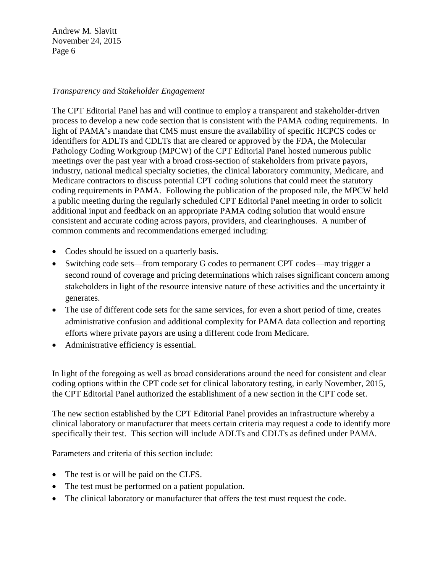# *Transparency and Stakeholder Engagement*

The CPT Editorial Panel has and will continue to employ a transparent and stakeholder-driven process to develop a new code section that is consistent with the PAMA coding requirements. In light of PAMA's mandate that CMS must ensure the availability of specific HCPCS codes or identifiers for ADLTs and CDLTs that are cleared or approved by the FDA, the Molecular Pathology Coding Workgroup (MPCW) of the CPT Editorial Panel hosted numerous public meetings over the past year with a broad cross-section of stakeholders from private payors, industry, national medical specialty societies, the clinical laboratory community, Medicare, and Medicare contractors to discuss potential CPT coding solutions that could meet the statutory coding requirements in PAMA. Following the publication of the proposed rule, the MPCW held a public meeting during the regularly scheduled CPT Editorial Panel meeting in order to solicit additional input and feedback on an appropriate PAMA coding solution that would ensure consistent and accurate coding across payors, providers, and clearinghouses. A number of common comments and recommendations emerged including:

- Codes should be issued on a quarterly basis.
- Switching code sets—from temporary G codes to permanent CPT codes—may trigger a second round of coverage and pricing determinations which raises significant concern among stakeholders in light of the resource intensive nature of these activities and the uncertainty it generates.
- The use of different code sets for the same services, for even a short period of time, creates administrative confusion and additional complexity for PAMA data collection and reporting efforts where private payors are using a different code from Medicare.
- Administrative efficiency is essential.

In light of the foregoing as well as broad considerations around the need for consistent and clear coding options within the CPT code set for clinical laboratory testing, in early November, 2015, the CPT Editorial Panel authorized the establishment of a new section in the CPT code set.

The new section established by the CPT Editorial Panel provides an infrastructure whereby a clinical laboratory or manufacturer that meets certain criteria may request a code to identify more specifically their test. This section will include ADLTs and CDLTs as defined under PAMA.

Parameters and criteria of this section include:

- The test is or will be paid on the CLFS.
- The test must be performed on a patient population.
- The clinical laboratory or manufacturer that offers the test must request the code.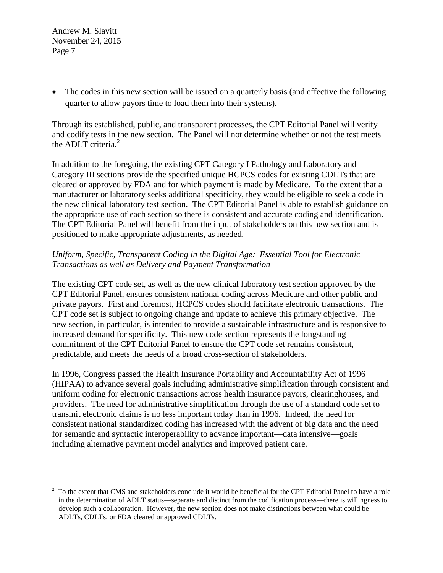$\overline{a}$ 

• The codes in this new section will be issued on a quarterly basis (and effective the following quarter to allow payors time to load them into their systems).

Through its established, public, and transparent processes, the CPT Editorial Panel will verify and codify tests in the new section. The Panel will not determine whether or not the test meets the ADLT criteria. $2$ 

In addition to the foregoing, the existing CPT Category I Pathology and Laboratory and Category III sections provide the specified unique HCPCS codes for existing CDLTs that are cleared or approved by FDA and for which payment is made by Medicare. To the extent that a manufacturer or laboratory seeks additional specificity, they would be eligible to seek a code in the new clinical laboratory test section. The CPT Editorial Panel is able to establish guidance on the appropriate use of each section so there is consistent and accurate coding and identification. The CPT Editorial Panel will benefit from the input of stakeholders on this new section and is positioned to make appropriate adjustments, as needed.

# *Uniform, Specific, Transparent Coding in the Digital Age: Essential Tool for Electronic Transactions as well as Delivery and Payment Transformation*

The existing CPT code set, as well as the new clinical laboratory test section approved by the CPT Editorial Panel, ensures consistent national coding across Medicare and other public and private payors. First and foremost, HCPCS codes should facilitate electronic transactions. The CPT code set is subject to ongoing change and update to achieve this primary objective. The new section, in particular, is intended to provide a sustainable infrastructure and is responsive to increased demand for specificity. This new code section represents the longstanding commitment of the CPT Editorial Panel to ensure the CPT code set remains consistent, predictable, and meets the needs of a broad cross-section of stakeholders.

In 1996, Congress passed the Health Insurance Portability and Accountability Act of 1996 (HIPAA) to advance several goals including administrative simplification through consistent and uniform coding for electronic transactions across health insurance payors, clearinghouses, and providers. The need for administrative simplification through the use of a standard code set to transmit electronic claims is no less important today than in 1996. Indeed, the need for consistent national standardized coding has increased with the advent of big data and the need for semantic and syntactic interoperability to advance important—data intensive—goals including alternative payment model analytics and improved patient care.

<sup>&</sup>lt;sup>2</sup> To the extent that CMS and stakeholders conclude it would be beneficial for the CPT Editorial Panel to have a role in the determination of ADLT status—separate and distinct from the codification process—there is willingness to develop such a collaboration. However, the new section does not make distinctions between what could be ADLTs, CDLTs, or FDA cleared or approved CDLTs.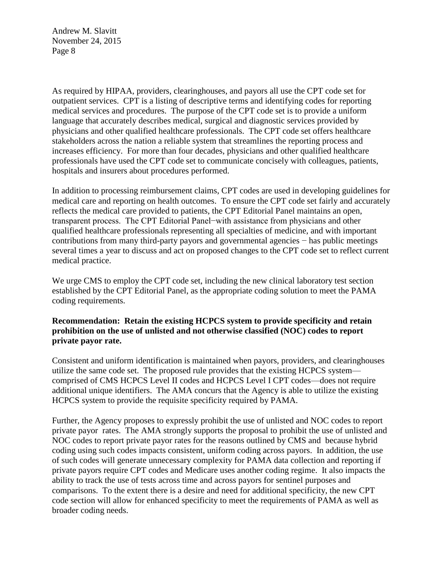As required by HIPAA, providers, clearinghouses, and payors all use the CPT code set for outpatient services. CPT is a listing of descriptive terms and identifying codes for reporting medical services and procedures. The purpose of the CPT code set is to provide a uniform language that accurately describes medical, surgical and diagnostic services provided by physicians and other qualified healthcare professionals. The CPT code set offers healthcare stakeholders across the nation a reliable system that streamlines the reporting process and increases efficiency. For more than four decades, physicians and other qualified healthcare professionals have used the CPT code set to communicate concisely with colleagues, patients, hospitals and insurers about procedures performed.

In addition to processing reimbursement claims, CPT codes are used in developing guidelines for medical care and reporting on health outcomes. To ensure the CPT code set fairly and accurately reflects the medical care provided to patients, the CPT Editorial Panel maintains an open, transparent process. The CPT Editorial Panel−with assistance from physicians and other qualified healthcare professionals representing all specialties of medicine, and with important contributions from many third-party payors and governmental agencies − has public meetings several times a year to discuss and act on proposed changes to the CPT code set to reflect current medical practice.

We urge CMS to employ the CPT code set, including the new clinical laboratory test section established by the CPT Editorial Panel, as the appropriate coding solution to meet the PAMA coding requirements.

#### **Recommendation: Retain the existing HCPCS system to provide specificity and retain prohibition on the use of unlisted and not otherwise classified (NOC) codes to report private payor rate.**

Consistent and uniform identification is maintained when payors, providers, and clearinghouses utilize the same code set. The proposed rule provides that the existing HCPCS system comprised of CMS HCPCS Level II codes and HCPCS Level I CPT codes—does not require additional unique identifiers. The AMA concurs that the Agency is able to utilize the existing HCPCS system to provide the requisite specificity required by PAMA.

Further, the Agency proposes to expressly prohibit the use of unlisted and NOC codes to report private payor rates. The AMA strongly supports the proposal to prohibit the use of unlisted and NOC codes to report private payor rates for the reasons outlined by CMS and because hybrid coding using such codes impacts consistent, uniform coding across payors. In addition, the use of such codes will generate unnecessary complexity for PAMA data collection and reporting if private payors require CPT codes and Medicare uses another coding regime. It also impacts the ability to track the use of tests across time and across payors for sentinel purposes and comparisons. To the extent there is a desire and need for additional specificity, the new CPT code section will allow for enhanced specificity to meet the requirements of PAMA as well as broader coding needs.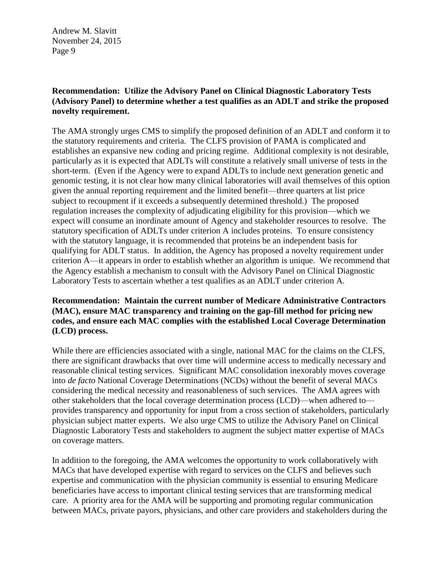# **Recommendation: Utilize the Advisory Panel on Clinical Diagnostic Laboratory Tests (Advisory Panel) to determine whether a test qualifies as an ADLT and strike the proposed novelty requirement.**

The AMA strongly urges CMS to simplify the proposed definition of an ADLT and conform it to the statutory requirements and criteria. The CLFS provision of PAMA is complicated and establishes an expansive new coding and pricing regime. Additional complexity is not desirable, particularly as it is expected that ADLTs will constitute a relatively small universe of tests in the short-term. (Even if the Agency were to expand ADLTs to include next generation genetic and genomic testing, it is not clear how many clinical laboratories will avail themselves of this option given the annual reporting requirement and the limited benefit—three quarters at list price subject to recoupment if it exceeds a subsequently determined threshold.) The proposed regulation increases the complexity of adjudicating eligibility for this provision—which we expect will consume an inordinate amount of Agency and stakeholder resources to resolve. The statutory specification of ADLTs under criterion A includes proteins. To ensure consistency with the statutory language, it is recommended that proteins be an independent basis for qualifying for ADLT status. In addition, the Agency has proposed a novelty requirement under criterion A—it appears in order to establish whether an algorithm is unique. We recommend that the Agency establish a mechanism to consult with the Advisory Panel on Clinical Diagnostic Laboratory Tests to ascertain whether a test qualifies as an ADLT under criterion A.

# **Recommendation: Maintain the current number of Medicare Administrative Contractors (MAC), ensure MAC transparency and training on the gap-fill method for pricing new codes, and ensure each MAC complies with the established Local Coverage Determination (LCD) process.**

While there are efficiencies associated with a single, national MAC for the claims on the CLFS, there are significant drawbacks that over time will undermine access to medically necessary and reasonable clinical testing services. Significant MAC consolidation inexorably moves coverage into *de facto* National Coverage Determinations (NCDs) without the benefit of several MACs considering the medical necessity and reasonableness of such services. The AMA agrees with other stakeholders that the local coverage determination process (LCD)—when adhered to provides transparency and opportunity for input from a cross section of stakeholders, particularly physician subject matter experts. We also urge CMS to utilize the Advisory Panel on Clinical Diagnostic Laboratory Tests and stakeholders to augment the subject matter expertise of MACs on coverage matters.

In addition to the foregoing, the AMA welcomes the opportunity to work collaboratively with MACs that have developed expertise with regard to services on the CLFS and believes such expertise and communication with the physician community is essential to ensuring Medicare beneficiaries have access to important clinical testing services that are transforming medical care. A priority area for the AMA will be supporting and promoting regular communication between MACs, private payors, physicians, and other care providers and stakeholders during the